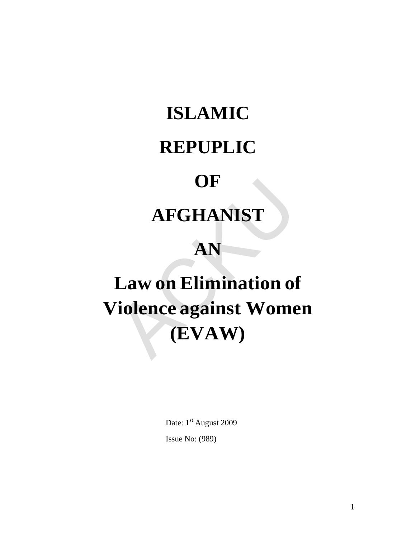## **ISLAMIC**

### **REPUPLIC**

### **OF**

## **AFGHANIST**

## **AN**

# **Law on Elimination of Violence against Women (EVAW)** OF<br>
AFGHANIST<br>
AN<br>
Law on Elimination of<br>
Tiolence against Wome<br>
(EVAW)

Date: 1st August 2009 Issue No: (989)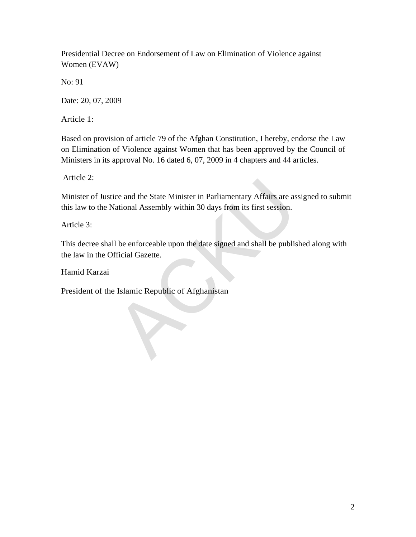Presidential Decree on Endorsement of Law on Elimination of Violence against Women (EVAW)

No: 91

Date: 20, 07, 2009

Article 1:

Based on provision of article 79 of the Afghan Constitution, I hereby, endorse the Law on Elimination of Violence against Women that has been approved by the Council of Ministers in its approval No. 16 dated 6, 07, 2009 in 4 chapters and 44 articles.

Article 2:

Minister of Justice and the State Minister in Parliamentary Affairs are assigned to submit this law to the National Assembly within 30 days from its first session. ice and the State Minister in Parliamentary Affairs are as<br>
Il distinguished in 30 days from its first session.<br>
Il be enforceable upon the date signed and shall be publis<br>
Ificial Gazette.<br>
Il slamic Republic of Afghanist

Article 3:

This decree shall be enforceable upon the date signed and shall be published along with the law in the Official Gazette.

Hamid Karzai

President of the Islamic Republic of Afghanistan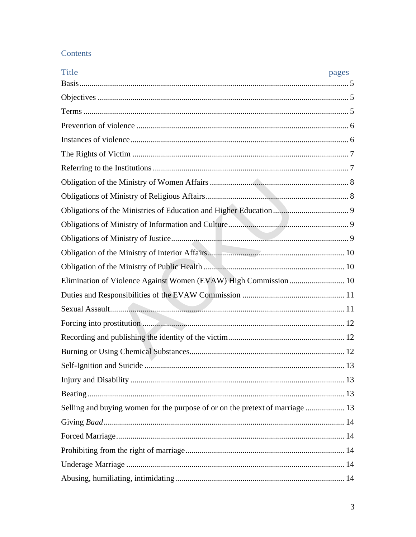#### Contents

| <b>Title</b>                                                                  | pages |
|-------------------------------------------------------------------------------|-------|
|                                                                               |       |
|                                                                               |       |
|                                                                               |       |
|                                                                               |       |
|                                                                               |       |
|                                                                               |       |
|                                                                               |       |
|                                                                               |       |
|                                                                               |       |
|                                                                               |       |
|                                                                               |       |
|                                                                               |       |
|                                                                               |       |
|                                                                               |       |
|                                                                               |       |
|                                                                               |       |
|                                                                               |       |
|                                                                               |       |
|                                                                               |       |
|                                                                               |       |
|                                                                               |       |
|                                                                               |       |
|                                                                               |       |
| Selling and buying women for the purpose of or on the pretext of marriage  13 |       |
|                                                                               |       |
|                                                                               |       |
|                                                                               |       |
|                                                                               |       |
|                                                                               |       |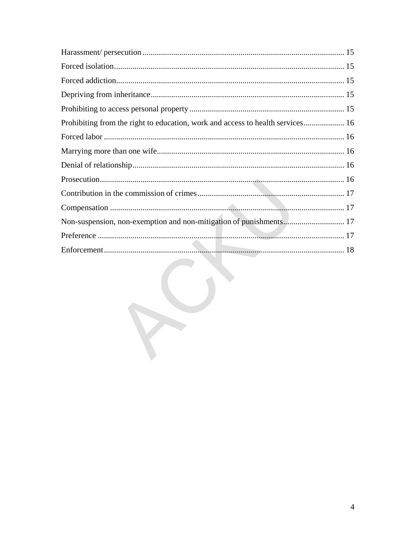| Non-suspension, non-exemption and non-mitigation of punishments 17 |  |
|--------------------------------------------------------------------|--|
|                                                                    |  |
|                                                                    |  |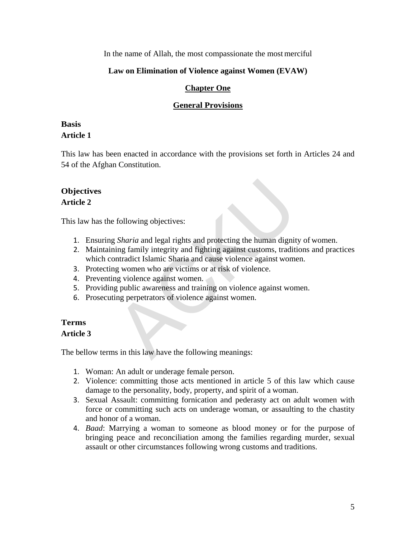In the name of Allah, the most compassionate the most merciful

#### **Law on Elimination of Violence against Women (EVAW)**

#### **Chapter One**

#### **General Provisions**

#### <span id="page-4-0"></span>**Basis**

#### **Article 1**

This law has been enacted in accordance with the provisions set forth in Articles 24 and 54 of the Afghan Constitution.

#### <span id="page-4-1"></span>**Objectives Article 2**

This law has the following objectives:

- 1. Ensuring *Sharia* and legal rights and protecting the human dignity of women.
- 2. Maintaining family integrity and fighting against customs, traditions and practices which contradict Islamic Sharia and cause violence against women. following objectives:<br>
g Sharia and legal rights and protecting the human dignit<br>
ining family integrity and fighting against customs, tradit<br>
intradict Islamic Sharia and cause violence against women<br>
g women who are vict
- 3. Protecting women who are victims or at risk of violence.
- 4. Preventing violence against women.
- 5. Providing public awareness and training on violence against women.
- 6. Prosecuting perpetrators of violence against women.

#### <span id="page-4-2"></span>**Terms Article 3**

The bellow terms in this law have the following meanings:

- 1. Woman: An adult or underage female person.
- 2. Violence: committing those acts mentioned in article 5 of this law which cause damage to the personality, body, property, and spirit of a woman.
- 3. Sexual Assault: committing fornication and pederasty act on adult women with force or committing such acts on underage woman, or assaulting to the chastity and honor of a woman.
- 4. *Baad*: Marrying a woman to someone as blood money or for the purpose of bringing peace and reconciliation among the families regarding murder, sexual assault or other circumstances following wrong customs and traditions.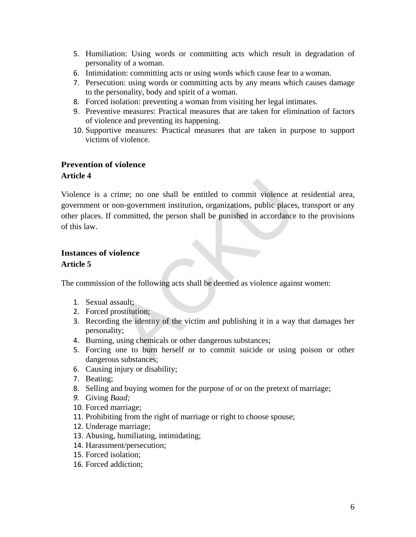- 5. Humiliation: Using words or committing acts which result in degradation of personality of a woman.
- 6. Intimidation: committing acts or using words which cause fear to a woman.
- 7. Persecution: using words or committing acts by any means which causes damage to the personality, body and spirit of a woman.
- 8. Forced isolation: preventing a woman from visiting her legal intimates.
- 9. Preventive measures: Practical measures that are taken for elimination of factors of violence and preventing its happening.
- 10. Supportive measures: Practical measures that are taken in purpose to support victims of violence.

#### <span id="page-5-0"></span>**Prevention of violence**

#### **Article 4**

Violence is a crime; no one shall be entitled to commit violence at residential area, government or non-government institution, organizations, public places, transport or any other places. If committed, the person shall be punished in accordance to the provisions of this law. Frame; no one shall be entitled to commit violence at<br>
non-government institution, organizations, public places<br>
committed, the person shall be punished in accordance<br>
iolence<br>
iolence<br>
iolence<br>
iolence<br>
iolence<br>
iolence<br>

#### <span id="page-5-1"></span>**Instances of violence Article 5**

The commission of the following acts shall be deemed as violence against women:

- 1. Sexual assault;
- 2. Forced prostitution;
- 3. Recording the identity of the victim and publishing it in a way that damages her personality;
- 4. Burning, using chemicals or other dangerous substances;
- 5. Forcing one to burn herself or to commit suicide or using poison or other dangerous substances;
- 6. Causing injury or disability;
- 7. Beating;
- 8. Selling and buying women for the purpose of or on the pretext of marriage;
- *9.* Giving *Baad;*
- 10. Forced marriage;
- 11. Prohibiting from the right of marriage or right to choose spouse;
- 12. Underage marriage;
- 13. Abusing, humiliating, intimidating;
- 14. Harassment/persecution;
- 15. Forced isolation;
- 16. Forced addiction;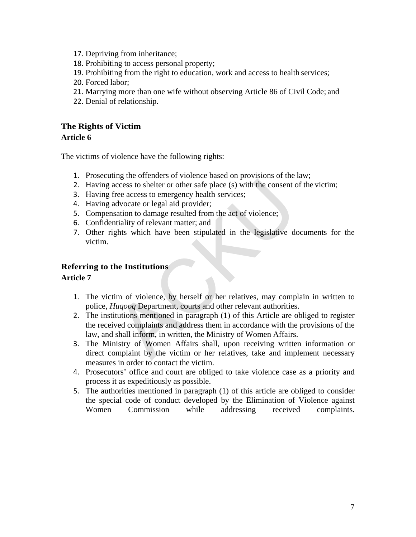- 17. Depriving from inheritance;
- 18. Prohibiting to access personal property;
- 19. Prohibiting from the right to education, work and access to health services;
- 20. Forced labor;
- 21. Marrying more than one wife without observing Article 86 of Civil Code; and
- 22. Denial of relationship.

#### <span id="page-6-0"></span>**The Rights of Victim**

#### **Article 6**

The victims of violence have the following rights:

- 1. Prosecuting the offenders of violence based on provisions of the law;
- 2. Having access to shelter or other safe place (s) with the consent of the victim;
- 3. Having free access to emergency health services;
- 4. Having advocate or legal aid provider;
- 5. Compensation to damage resulted from the act of violence;
- 6. Confidentiality of relevant matter; and
- 7. Other rights which have been stipulated in the legislative documents for the victim.

#### <span id="page-6-1"></span>**Referring to the Institutions**

#### **Article 7**

- 1. The victim of violence, by herself or her relatives, may complain in written to police, *Huqooq* Department, courts and other relevant authorities.
- 2. The institutions mentioned in paragraph (1) of this Article are obliged to register the received complaints and address them in accordance with the provisions of the law, and shall inform, in written, the Ministry of Women Affairs. access to shelter or other safe place (s) with the consent of<br>
iree access to emergency health services;<br>
advocate or legal aid provider;<br>
sation to damage resulted from the act of violence;<br>
sation to damage resulted from
- 3. The Ministry of Women Affairs shall, upon receiving written information or direct complaint by the victim or her relatives, take and implement necessary measures in order to contact the victim.
- 4. Prosecutors' office and court are obliged to take violence case as a priority and process it as expeditiously as possible.
- 5. The authorities mentioned in paragraph (1) of this article are obliged to consider the special code of conduct developed by the Elimination of Violence against Women Commission while addressing received complaints.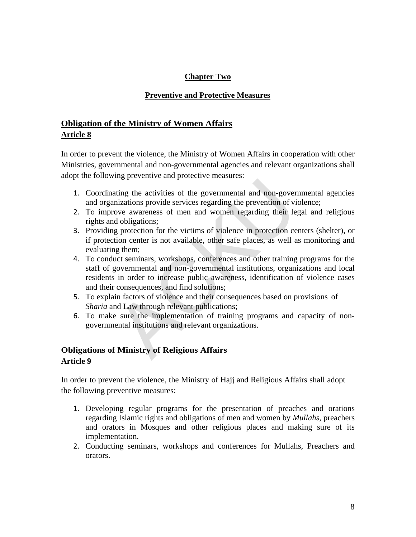#### **Chapter Two**

#### **Preventive and Protective Measures**

#### <span id="page-7-0"></span>**Obligation of the Ministry of Women Affairs Article 8**

In order to prevent the violence, the Ministry of Women Affairs in cooperation with other Ministries, governmental and non-governmental agencies and relevant organizations shall adopt the following preventive and protective measures:

- 1. Coordinating the activities of the governmental and non-governmental agencies and organizations provide services regarding the prevention of violence;
- 2. To improve awareness of men and women regarding their legal and religious rights and obligations;
- 3. Providing protection for the victims of violence in protection centers (shelter), or if protection center is not available, other safe places, as well as monitoring and evaluating them;
- 4. To conduct seminars, workshops, conferences and other training programs for the staff of governmental and non-governmental institutions, organizations and local residents in order to increase public awareness, identification of violence cases and their consequences, and find solutions; Let the activities of the governmental and non-governizations provide services regarding the prevention of violence in variancy over awareness of men and women regarding their led obligations; g protection for the victims
- 5. To explain factors of violence and their consequences based on provisions of *Sharia* and Law through relevant publications;
- 6. To make sure the implementation of training programs and capacity of nongovernmental institutions and relevant organizations.

#### <span id="page-7-1"></span>**Obligations of Ministry of Religious Affairs**

#### **Article 9**

In order to prevent the violence, the Ministry of Hajj and Religious Affairs shall adopt the following preventive measures:

- 1. Developing regular programs for the presentation of preaches and orations regarding Islamic rights and obligations of men and women by *Mullahs*, preachers and orators in Mosques and other religious places and making sure of its implementation.
- 2. Conducting seminars, workshops and conferences for Mullahs, Preachers and orators.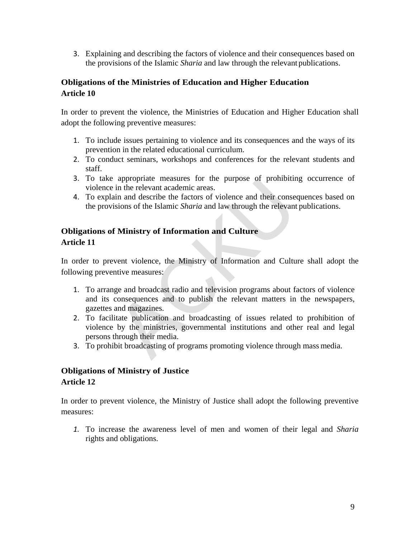3. Explaining and describing the factors of violence and their consequences based on the provisions of the Islamic *Sharia* and law through the relevant publications.

#### <span id="page-8-0"></span>**Obligations of the Ministries of Education and Higher Education Article 10**

In order to prevent the violence, the Ministries of Education and Higher Education shall adopt the following preventive measures:

- 1. To include issues pertaining to violence and its consequences and the ways of its prevention in the related educational curriculum.
- 2. To conduct seminars, workshops and conferences for the relevant students and staff.
- 3. To take appropriate measures for the purpose of prohibiting occurrence of violence in the relevant academic areas.
- 4. To explain and describe the factors of violence and their consequences based on the provisions of the Islamic *Sharia* and law through the relevant publications.

#### <span id="page-8-1"></span>**Obligations of Ministry of Information and Culture Article 11**

In order to prevent violence, the Ministry of Information and Culture shall adopt the following preventive measures:

- 1. To arrange and broadcast radio and television programs about factors of violence and its consequences and to publish the relevant matters in the newspapers, gazettes and magazines.
- 2. To facilitate publication and broadcasting of issues related to prohibition of violence by the ministries, governmental institutions and other real and legal persons through their media. appropriate measures for the purpose of promotin<br>in the relevant academic areas.<br>tin and describe the factors of violence and their conse-<br>isions of the Islamic *Sharia* and law through the relevant<br>**f Ministry of Inform**
- 3. To prohibit broadcasting of programs promoting violence through mass media.

#### <span id="page-8-2"></span>**Obligations of Ministry of Justice Article 12**

In order to prevent violence, the Ministry of Justice shall adopt the following preventive measures:

*1.* To increase the awareness level of men and women of their legal and *Sharia* rights and obligations.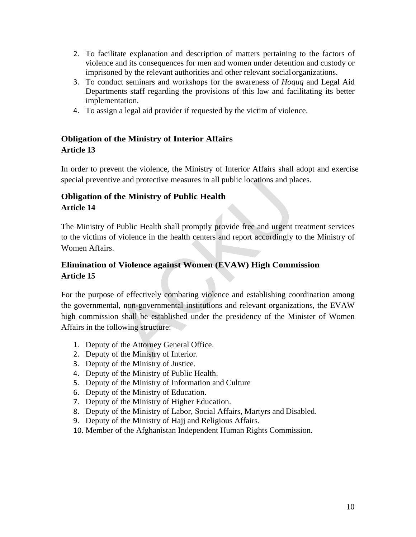- 2. To facilitate explanation and description of matters pertaining to the factors of violence and its consequences for men and women under detention and custody or imprisoned by the relevant authorities and other relevant social organizations.
- 3. To conduct seminars and workshops for the awareness of *Hoquq* and Legal Aid Departments staff regarding the provisions of this law and facilitating its better implementation.
- 4. To assign a legal aid provider if requested by the victim of violence.

#### <span id="page-9-0"></span>**Obligation of the Ministry of Interior Affairs Article 13**

In order to prevent the violence, the Ministry of Interior Affairs shall adopt and exercise special preventive and protective measures in all public locations and places.

#### **Obligation of the Ministry of Public Health Article 14**

The Ministry of Public Health shall promptly provide free and urgent treatment services to the victims of violence in the health centers and report accordingly to the Ministry of Women Affairs.

#### <span id="page-9-2"></span>**Elimination of Violence against Women (EVAW) High Commission Article 15**

<span id="page-9-1"></span>For the purpose of effectively combating violence and establishing coordination among the governmental, non-governmental institutions and relevant organizations, the EVAW high commission shall be established under the presidency of the Minister of Women Affairs in the following structure: We and protective measures in all public locations and planet<br> **the Ministry of Public Health**<br>
Fublic Health shall promptly provide free and urgent to<br> **f** violence in the health centers and report accordingly to<br> **f** Vio

- 1. Deputy of the Attorney General Office.
- 2. Deputy of the Ministry of Interior.
- 3. Deputy of the Ministry of Justice.
- 4. Deputy of the Ministry of Public Health.
- 5. Deputy of the Ministry of Information and Culture
- 6. Deputy of the Ministry of Education.
- 7. Deputy of the Ministry of Higher Education.
- 8. Deputy of the Ministry of Labor, Social Affairs, Martyrs and Disabled.
- 9. Deputy of the Ministry of Hajj and Religious Affairs.
- 10. Member of the Afghanistan Independent Human Rights Commission.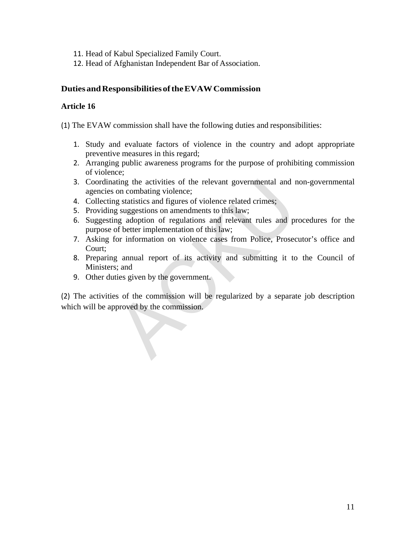- 11. Head of Kabul Specialized Family Court.
- 12. Head of Afghanistan Independent Bar of Association.

#### <span id="page-10-0"></span>**DutiesandResponsibilitiesofthe EVAW Commission**

#### **Article 16**

(1) The EVAW commission shall have the following duties and responsibilities:

- 1. Study and evaluate factors of violence in the country and adopt appropriate preventive measures in this regard;
- 2. Arranging public awareness programs for the purpose of prohibiting commission of violence;
- 3. Coordinating the activities of the relevant governmental and non-governmental agencies on combating violence;
- 4. Collecting statistics and figures of violence related crimes;
- 5. Providing suggestions on amendments to this law;
- 6. Suggesting adoption of regulations and relevant rules and procedures for the purpose of better implementation of this law;
- 7. Asking for information on violence cases from Police, Prosecutor's office and Court;
- 8. Preparing annual report of its activity and submitting it to the Council of Ministers; and
- 9. Other duties given by the government.

(2) The activities of the commission will be regularized by a separate job description which will be approved by the commission. ating the activities of the relevant governmental and a<br>on combating violence;<br>g statistics and figures of violence related crimes;<br>g suggestions on amendments to this law;<br>ng adoption of regulations and relevant rules and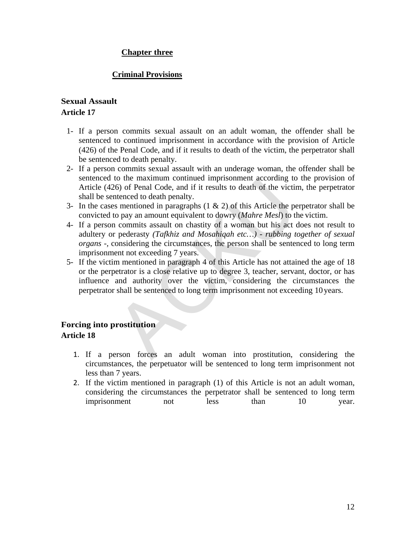#### **Chapter three**

#### **Criminal Provisions**

#### <span id="page-11-0"></span>**Sexual Assault Article 17**

- 1- If a person commits sexual assault on an adult woman, the offender shall be sentenced to continued imprisonment in accordance with the provision of Article (426) of the Penal Code, and if it results to death of the victim, the perpetrator shall be sentenced to death penalty.
- 2- If a person commits sexual assault with an underage woman, the offender shall be sentenced to the maximum continued imprisonment according to the provision of Article (426) of Penal Code, and if it results to death of the victim, the perpetrator shall be sentenced to death penalty.
- 3- In the cases mentioned in paragraphs  $(1 \& 2)$  of this Article the perpetrator shall be convicted to pay an amount equivalent to dowry (*Mahre Mesl*) to the victim.
- 4- If a person commits assault on chastity of a woman but his act does not result to adultery or pederasty *(Tafkhiz and Mosahiqah etc…) - rubbing together of sexual organs -,* considering the circumstances, the person shall be sentenced to long term imprisonment not exceeding 7 years. to the maximum continued imprisonment according to<br>  $26$ ) of Penal Code, and if it results to death of the victin<br>
intenced to death penalty.<br>
Simmetion in paragraphs (1 & 2) of this Article the pe<br>  $\alpha$  paramount equival
- 5- If the victim mentioned in paragraph 4 of this Article has not attained the age of 18 or the perpetrator is a close relative up to degree 3, teacher, servant, doctor, or has influence and authority over the victim, considering the circumstances the perpetrator shall be sentenced to long term imprisonment not exceeding 10 years.

#### **Forcing into prostitution Article 18**

- 1. If a person forces an adult woman into prostitution, considering the circumstances, the perpetuator will be sentenced to long term imprisonment not less than 7 years.
- 2. If the victim mentioned in paragraph (1) of this Article is not an adult woman, considering the circumstances the perpetrator shall be sentenced to long term imprisonment not less than 10 year.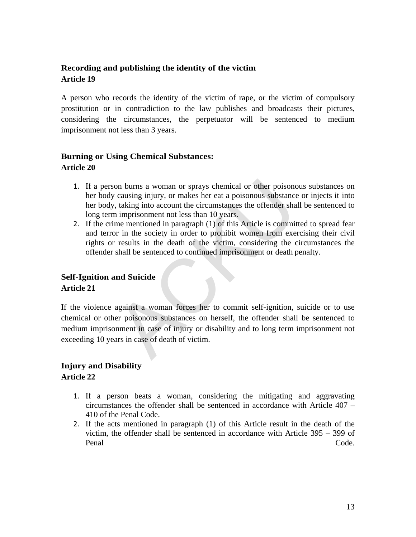#### <span id="page-12-1"></span><span id="page-12-0"></span>**Recording and publishing the identity of the victim Article 19**

A person who records the identity of the victim of rape, or the victim of compulsory prostitution or in contradiction to the law publishes and broadcasts their pictures, considering the circumstances, the perpetuator will be sentenced to medium imprisonment not less than 3 years.

#### <span id="page-12-2"></span>**Burning or Using Chemical Substances: Article 20**

- 1. If a person burns a woman or sprays chemical or other poisonous substances on her body causing injury, or makes her eat a poisonous substance or injects it into her body, taking into account the circumstances the offender shall be sentenced to long term imprisonment not less than 10 years.
- 2. If the crime mentioned in paragraph (1) of this Article is committed to spread fear and terror in the society in order to prohibit women from exercising their civil rights or results in the death of the victim, considering the circumstances the offender shall be sentenced to continued imprisonment or death penalty.

#### **Self-Ignition and Suicide**

#### **Article 21**

If the violence against a woman forces her to commit self-ignition, suicide or to use chemical or other poisonous substances on herself, the offender shall be sentenced to medium imprisonment in case of injury or disability and to long term imprisonment not exceeding 10 years in case of death of victim. on burns a woman or sprays chemical or other poisonon causing injury, or makes her eat a poisonous substance, taking into account the circumstances the offender shan inprisonment not less than 10 years, me mentioned in par

#### <span id="page-12-3"></span>**Injury and Disability**

#### **Article 22**

- 1. If a person beats a woman, considering the mitigating and aggravating circumstances the offender shall be sentenced in accordance with Article 407 – 410 of the Penal Code.
- 2. If the acts mentioned in paragraph (1) of this Article result in the death of the victim, the offender shall be sentenced in accordance with Article 395 – 399 of Penal Code.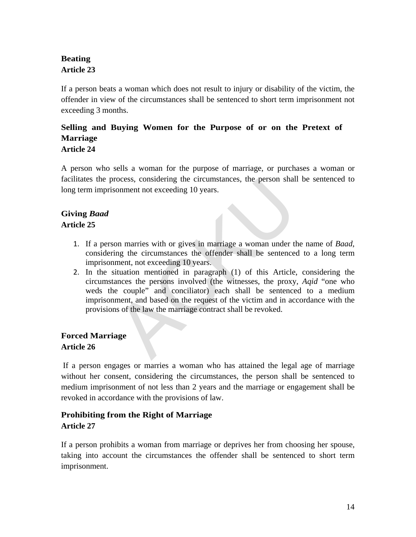#### <span id="page-13-0"></span>**Beating Article 23**

If a person beats a woman which does not result to injury or disability of the victim, the offender in view of the circumstances shall be sentenced to short term imprisonment not exceeding 3 months.

#### <span id="page-13-1"></span>**Selling and Buying Women for the Purpose of or on the Pretext of Marriage**

#### **Article 24**

A person who sells a woman for the purpose of marriage, or purchases a woman or facilitates the process, considering the circumstances, the person shall be sentenced to long term imprisonment not exceeding 10 years.

#### **Giving** *Baad* **Article 25**

- 1. If a person marries with or gives in marriage a woman under the name of *Baad*, considering the circumstances the offender shall be sentenced to a long term imprisonment, not exceeding 10 years.
- 2. In the situation mentioned in paragraph (1) of this Article, considering the circumstances the persons involved (the witnesses, the proxy, *Aqid* "one who weds the couple" and conciliator) each shall be sentenced to a medium imprisonment, and based on the request of the victim and in accordance with the provisions of the law the marriage contract shall be revoked. rocess, considering the circumstances, the person shall<br>somment not exceeding 10 years.<br>ting the circumstances the offender shall be sentenced<br>iment, not exceeding 10 years.<br>situation mentioned in paragraph (1) of this Art

#### **Forced Marriage Article 26**

If a person engages or marries a woman who has attained the legal age of marriage without her consent, considering the circumstances, the person shall be sentenced to medium imprisonment of not less than 2 years and the marriage or engagement shall be revoked in accordance with the provisions of law.

#### <span id="page-13-2"></span>**Prohibiting from the Right of Marriage Article 27**

If a person prohibits a woman from marriage or deprives her from choosing her spouse, taking into account the circumstances the offender shall be sentenced to short term imprisonment.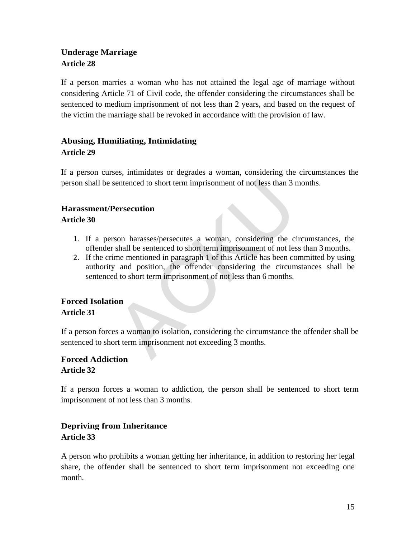#### <span id="page-14-0"></span>**Underage Marriage Article 28**

If a person marries a woman who has not attained the legal age of marriage without considering Article 71 of Civil code, the offender considering the circumstances shall be sentenced to medium imprisonment of not less than 2 years, and based on the request of the victim the marriage shall be revoked in accordance with the provision of law.

#### <span id="page-14-1"></span>**Abusing, Humiliating, Intimidating Article 29**

If a person curses, intimidates or degrades a woman, considering the circumstances the person shall be sentenced to short term imprisonment of not less than 3 months.

#### **Harassment/Persecution**

#### **Article 30**

- 1. If a person harasses/persecutes a woman, considering the circumstances, the offender shall be sentenced to short term imprisonment of not less than 3 months.
- 2. If the crime mentioned in paragraph 1 of this Article has been committed by using authority and position, the offender considering the circumstances shall be sentenced to short term imprisonment of not less than 6 months. Summer and the short term imprisonment of not less than 3 a<br> **Persecution**<br>
Summer and the sentenced to short term imprisonment of not less<br>
the considering the circum<br>
Active memoric in paragraph 1 of this Article has bee

#### **Forced Isolation Article 31**

<span id="page-14-2"></span>If a person forces a woman to isolation, considering the circumstance the offender shall be sentenced to short term imprisonment not exceeding 3 months.

#### <span id="page-14-3"></span>**Forced Addiction Article 32**

If a person forces a woman to addiction, the person shall be sentenced to short term imprisonment of not less than 3 months.

#### <span id="page-14-4"></span>**Depriving from Inheritance Article 33**

A person who prohibits a woman getting her inheritance, in addition to restoring her legal share, the offender shall be sentenced to short term imprisonment not exceeding one month.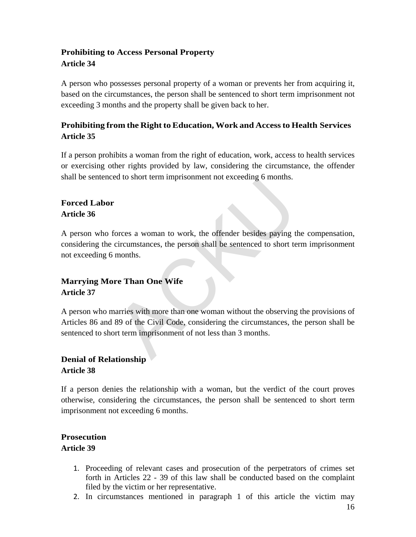#### <span id="page-15-0"></span>**Prohibiting to Access Personal Property Article 34**

A person who possesses personal property of a woman or prevents her from acquiring it, based on the circumstances, the person shall be sentenced to short term imprisonment not exceeding 3 months and the property shall be given back to her.

#### <span id="page-15-1"></span>**Prohibiting from the Right to Education, Work and Accessto Health Services Article 35**

If a person prohibits a woman from the right of education, work, access to health services or exercising other rights provided by law, considering the circumstance, the offender shall be sentenced to short term imprisonment not exceeding 6 months.

#### <span id="page-15-2"></span>**Forced Labor Article 36**

A person who forces a woman to work, the offender besides paying the compensation, considering the circumstances, the person shall be sentenced to short term imprisonment not exceeding 6 months.

#### <span id="page-15-3"></span>**Marrying More Than One Wife Article 37**

A person who marries with more than one woman without the observing the provisions of Articles 86 and 89 of the Civil Code, considering the circumstances, the person shall be sentenced to short term imprisonment of not less than 3 months. Forces a woman to work, the offender besides paying the circumstances, the person shall be sentenced to short te months.<br> **The Than One Wife**<br> **ACKUP SET SET ANCE ACT ACT ACT AND ONE ACT ANCE ACT AND ONE ACT AND ACT ACT AN** 

#### <span id="page-15-4"></span>**Denial of Relationship Article 38**

If a person denies the relationship with a woman, but the verdict of the court proves otherwise, considering the circumstances, the person shall be sentenced to short term imprisonment not exceeding 6 months.

#### <span id="page-15-5"></span>**Prosecution Article 39**

- 1. Proceeding of relevant cases and prosecution of the perpetrators of crimes set forth in Articles 22 - 39 of this law shall be conducted based on the complaint filed by the victim or her representative.
- 2. In circumstances mentioned in paragraph 1 of this article the victim may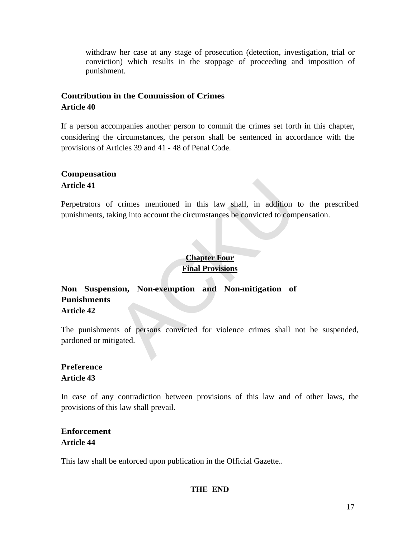withdraw her case at any stage of prosecution (detection, investigation, trial or conviction) which results in the stoppage of proceeding and imposition of punishment.

#### **Contribution in the Commission of Crimes Article 40**

If a person accompanies another person to commit the crimes set forth in this chapter, considering the circumstances, the person shall be sentenced in accordance with the provisions of Articles 39 and 41 - 48 of Penal Code.

#### <span id="page-16-1"></span>**Compensation Article 41**

Perpetrators of crimes mentioned in this law shall, in addition to the prescribed punishments, taking into account the circumstances be convicted to compensation.

#### <span id="page-16-0"></span>**Chapter Four Final Provisions**

# **Non Suspension, Non-exemption and Non-mitigation of Punishments Article 42** crimes mentioned in this law shall, in addition<br>king into account the circumstances be convicted to com<br>**Chapter Four**<br>**Chapter Four**<br>**Einal Provisions**<br>**Sion, Non-exemption and Non-mitigation of**<br>ts of persons convicted f

<span id="page-16-2"></span>The punishments of persons convicted for violence crimes shall not be suspended, pardoned or mitigated.

#### <span id="page-16-3"></span>**Preference Article 43**

In case of any contradiction between provisions of this law and of other laws, the provisions of this law shall prevail.

#### **Enforcement Article 44**

This law shall be enforced upon publication in the Official Gazette..

#### **THE END**